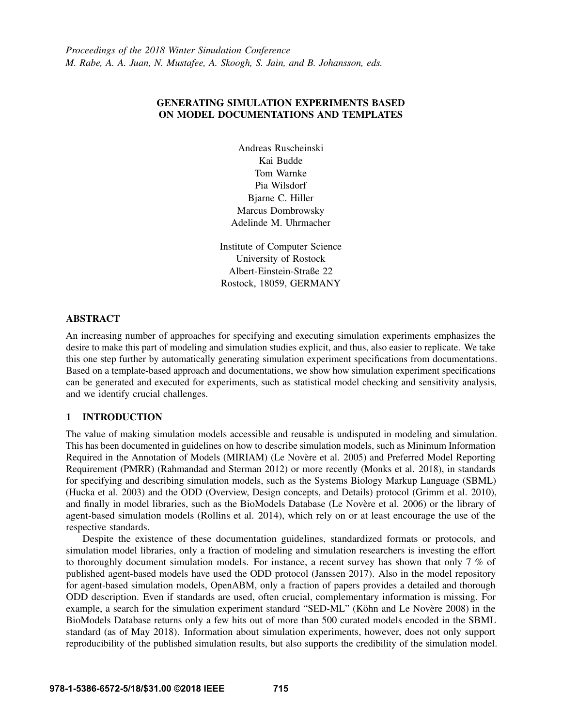## GENERATING SIMULATION EXPERIMENTS BASED ON MODEL DOCUMENTATIONS AND TEMPLATES

Andreas Ruscheinski Kai Budde Tom Warnke Pia Wilsdorf Bjarne C. Hiller Marcus Dombrowsky Adelinde M. Uhrmacher

Institute of Computer Science University of Rostock Albert-Einstein-Straße 22 Rostock, 18059, GERMANY

## ABSTRACT

An increasing number of approaches for specifying and executing simulation experiments emphasizes the desire to make this part of modeling and simulation studies explicit, and thus, also easier to replicate. We take this one step further by automatically generating simulation experiment specifications from documentations. Based on a template-based approach and documentations, we show how simulation experiment specifications can be generated and executed for experiments, such as statistical model checking and sensitivity analysis, and we identify crucial challenges.

# 1 INTRODUCTION

The value of making simulation models accessible and reusable is undisputed in modeling and simulation. This has been documented in guidelines on how to describe simulation models, such as Minimum Information Required in the Annotation of Models (MIRIAM) (Le Novère et al. 2005) and Preferred Model Reporting Requirement (PMRR) (Rahmandad and Sterman 2012) or more recently (Monks et al. 2018), in standards for specifying and describing simulation models, such as the Systems Biology Markup Language (SBML) (Hucka et al. 2003) and the ODD (Overview, Design concepts, and Details) protocol (Grimm et al. 2010), and finally in model libraries, such as the BioModels Database (Le Novère et al. 2006) or the library of agent-based simulation models (Rollins et al. 2014), which rely on or at least encourage the use of the respective standards.

Despite the existence of these documentation guidelines, standardized formats or protocols, and simulation model libraries, only a fraction of modeling and simulation researchers is investing the effort to thoroughly document simulation models. For instance, a recent survey has shown that only 7 % of published agent-based models have used the ODD protocol (Janssen 2017). Also in the model repository for agent-based simulation models, OpenABM, only a fraction of papers provides a detailed and thorough ODD description. Even if standards are used, often crucial, complementary information is missing. For example, a search for the simulation experiment standard "SED-ML" (Köhn and Le Novère 2008) in the BioModels Database returns only a few hits out of more than 500 curated models encoded in the SBML standard (as of May 2018). Information about simulation experiments, however, does not only support reproducibility of the published simulation results, but also supports the credibility of the simulation model.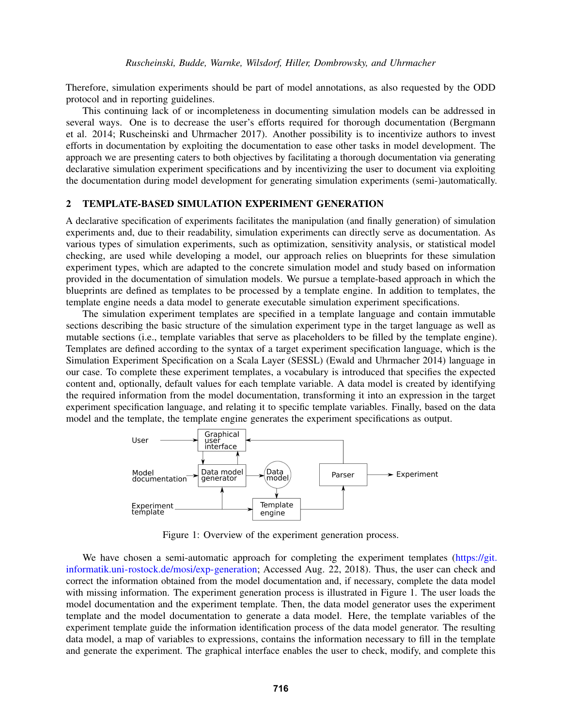Therefore, simulation experiments should be part of model annotations, as also requested by the ODD protocol and in reporting guidelines.

This continuing lack of or incompleteness in documenting simulation models can be addressed in several ways. One is to decrease the user's efforts required for thorough documentation (Bergmann et al. 2014; Ruscheinski and Uhrmacher 2017). Another possibility is to incentivize authors to invest efforts in documentation by exploiting the documentation to ease other tasks in model development. The approach we are presenting caters to both objectives by facilitating a thorough documentation via generating declarative simulation experiment specifications and by incentivizing the user to document via exploiting the documentation during model development for generating simulation experiments (semi-)automatically.

#### 2 TEMPLATE-BASED SIMULATION EXPERIMENT GENERATION

A declarative specification of experiments facilitates the manipulation (and finally generation) of simulation experiments and, due to their readability, simulation experiments can directly serve as documentation. As various types of simulation experiments, such as optimization, sensitivity analysis, or statistical model checking, are used while developing a model, our approach relies on blueprints for these simulation experiment types, which are adapted to the concrete simulation model and study based on information provided in the documentation of simulation models. We pursue a template-based approach in which the blueprints are defined as templates to be processed by a template engine. In addition to templates, the template engine needs a data model to generate executable simulation experiment specifications.

The simulation experiment templates are specified in a template language and contain immutable sections describing the basic structure of the simulation experiment type in the target language as well as mutable sections (i.e., template variables that serve as placeholders to be filled by the template engine). Templates are defined according to the syntax of a target experiment specification language, which is the Simulation Experiment Specification on a Scala Layer (SESSL) (Ewald and Uhrmacher 2014) language in our case. To complete these experiment templates, a vocabulary is introduced that specifies the expected content and, optionally, default values for each template variable. A data model is created by identifying the required information from the model documentation, transforming it into an expression in the target experiment specification language, and relating it to specific template variables. Finally, based on the data model and the template, the template engine generates the experiment specifications as output.



Figure 1: Overview of the experiment generation process.

We have chosen a semi-automatic approach for completing the experiment templates (https://git. informatik.uni-rostock.de/mosi/exp-generation; Accessed Aug. 22, 2018). Thus, the user can check and correct the information obtained from the model documentation and, if necessary, complete the data model with missing information. The experiment generation process is illustrated in Figure 1. The user loads the model documentation and the experiment template. Then, the data model generator uses the experiment template and the model documentation to generate a data model. Here, the template variables of the experiment template guide the information identification process of the data model generator. The resulting data model, a map of variables to expressions, contains the information necessary to fill in the template and generate the experiment. The graphical interface enables the user to check, modify, and complete this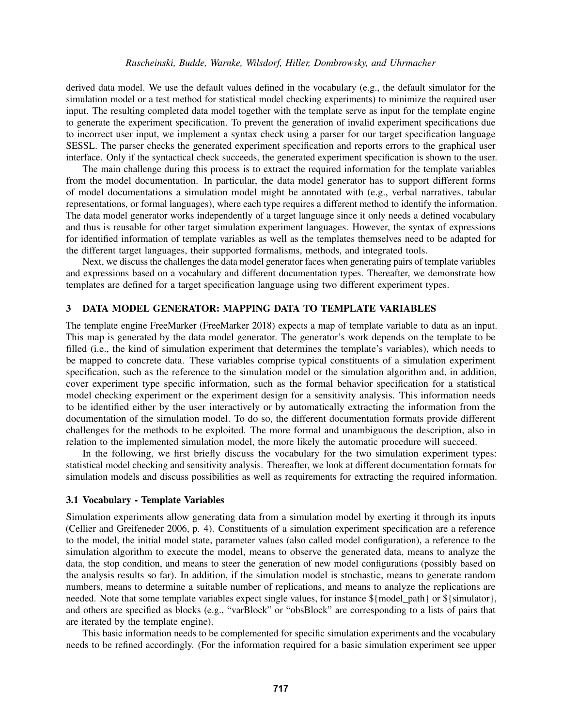#### *Ruscheinski, Budde, Warnke, Wilsdorf, Hiller, Dombrowsky, and Uhrmacher*

derived data model. We use the default values defined in the vocabulary (e.g., the default simulator for the simulation model or a test method for statistical model checking experiments) to minimize the required user input. The resulting completed data model together with the template serve as input for the template engine to generate the experiment specification. To prevent the generation of invalid experiment specifications due to incorrect user input, we implement a syntax check using a parser for our target specification language SESSL. The parser checks the generated experiment specification and reports errors to the graphical user interface. Only if the syntactical check succeeds, the generated experiment specification is shown to the user.

The main challenge during this process is to extract the required information for the template variables from the model documentation. In particular, the data model generator has to support different forms of model documentations a simulation model might be annotated with (e.g., verbal narratives, tabular representations, or formal languages), where each type requires a different method to identify the information. The data model generator works independently of a target language since it only needs a defined vocabulary and thus is reusable for other target simulation experiment languages. However, the syntax of expressions for identified information of template variables as well as the templates themselves need to be adapted for the different target languages, their supported formalisms, methods, and integrated tools.

Next, we discuss the challenges the data model generator faces when generating pairs of template variables and expressions based on a vocabulary and different documentation types. Thereafter, we demonstrate how templates are defined for a target specification language using two different experiment types.

# 3 DATA MODEL GENERATOR: MAPPING DATA TO TEMPLATE VARIABLES

The template engine FreeMarker (FreeMarker 2018) expects a map of template variable to data as an input. This map is generated by the data model generator. The generator's work depends on the template to be filled (i.e., the kind of simulation experiment that determines the template's variables), which needs to be mapped to concrete data. These variables comprise typical constituents of a simulation experiment specification, such as the reference to the simulation model or the simulation algorithm and, in addition, cover experiment type specific information, such as the formal behavior specification for a statistical model checking experiment or the experiment design for a sensitivity analysis. This information needs to be identified either by the user interactively or by automatically extracting the information from the documentation of the simulation model. To do so, the different documentation formats provide different challenges for the methods to be exploited. The more formal and unambiguous the description, also in relation to the implemented simulation model, the more likely the automatic procedure will succeed.

In the following, we first briefly discuss the vocabulary for the two simulation experiment types: statistical model checking and sensitivity analysis. Thereafter, we look at different documentation formats for simulation models and discuss possibilities as well as requirements for extracting the required information.

### 3.1 Vocabulary - Template Variables

Simulation experiments allow generating data from a simulation model by exerting it through its inputs (Cellier and Greifeneder 2006, p. 4). Constituents of a simulation experiment specification are a reference to the model, the initial model state, parameter values (also called model configuration), a reference to the simulation algorithm to execute the model, means to observe the generated data, means to analyze the data, the stop condition, and means to steer the generation of new model configurations (possibly based on the analysis results so far). In addition, if the simulation model is stochastic, means to generate random numbers, means to determine a suitable number of replications, and means to analyze the replications are needed. Note that some template variables expect single values, for instance  $\{\text{model path}\}$  or  $\{\text{simulation}\}$ , and others are specified as blocks (e.g., "varBlock" or "obsBlock" are corresponding to a lists of pairs that are iterated by the template engine).

This basic information needs to be complemented for specific simulation experiments and the vocabulary needs to be refined accordingly. (For the information required for a basic simulation experiment see upper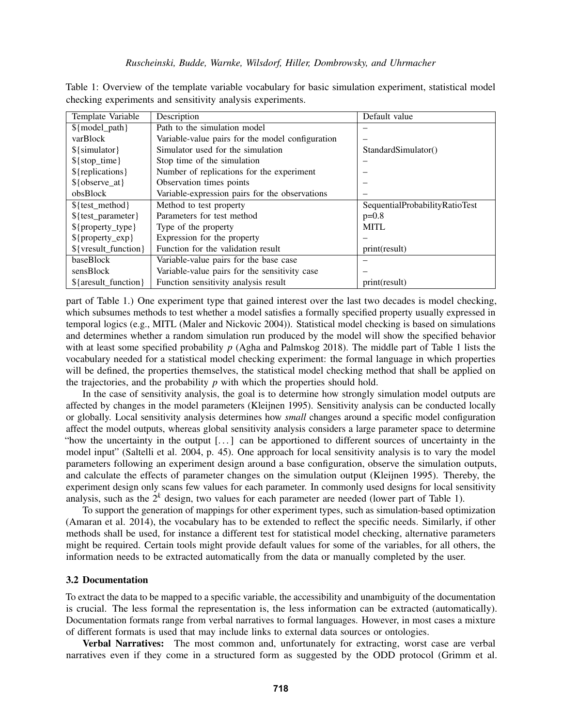| Template Variable                 | Description                                      | Default value                  |
|-----------------------------------|--------------------------------------------------|--------------------------------|
| $\{model\_path\}$                 | Path to the simulation model                     |                                |
| varBlock                          | Variable-value pairs for the model configuration |                                |
| $\{\text{simulator}\}\$           | Simulator used for the simulation                | StandardSimulator()            |
| $\{\text{stop_time}\}$            | Stop time of the simulation                      |                                |
| $\{\epsilon\}$ replications }     | Number of replications for the experiment        |                                |
| $\delta$ {observe_at}             | Observation times points                         |                                |
| obsBlock                          | Variable-expression pairs for the observations   |                                |
| $\{test\_method\}$                | Method to test property                          | SequentialProbabilityRatioTest |
| $$$ {test_parameter}              | Parameters for test method                       | $p=0.8$                        |
| $\{\text{property\_type}\}\$      | Type of the property                             | <b>MITL</b>                    |
| $\{\text{property\_exp}\}$        | Expression for the property                      |                                |
| \${vresult_function}              | Function for the validation result               | print(result)                  |
| baseBlock                         | Variable-value pairs for the base case           |                                |
| sensBlock                         | Variable-value pairs for the sensitivity case    |                                |
| $\{\{\text{aresult_function}\}\}$ | Function sensitivity analysis result             | print(result)                  |

Table 1: Overview of the template variable vocabulary for basic simulation experiment, statistical model checking experiments and sensitivity analysis experiments.

part of Table 1.) One experiment type that gained interest over the last two decades is model checking, which subsumes methods to test whether a model satisfies a formally specified property usually expressed in temporal logics (e.g., MITL (Maler and Nickovic 2004)). Statistical model checking is based on simulations and determines whether a random simulation run produced by the model will show the specified behavior with at least some specified probability *p* (Agha and Palmskog 2018). The middle part of Table 1 lists the vocabulary needed for a statistical model checking experiment: the formal language in which properties will be defined, the properties themselves, the statistical model checking method that shall be applied on the trajectories, and the probability *p* with which the properties should hold.

In the case of sensitivity analysis, the goal is to determine how strongly simulation model outputs are affected by changes in the model parameters (Kleijnen 1995). Sensitivity analysis can be conducted locally or globally. Local sensitivity analysis determines how *small* changes around a specific model configuration affect the model outputs, whereas global sensitivity analysis considers a large parameter space to determine "how the uncertainty in the output [. . . ] can be apportioned to different sources of uncertainty in the model input" (Saltelli et al. 2004, p. 45). One approach for local sensitivity analysis is to vary the model parameters following an experiment design around a base configuration, observe the simulation outputs, and calculate the effects of parameter changes on the simulation output (Kleijnen 1995). Thereby, the experiment design only scans few values for each parameter. In commonly used designs for local sensitivity analysis, such as the  $2^k$  design, two values for each parameter are needed (lower part of Table 1).

To support the generation of mappings for other experiment types, such as simulation-based optimization (Amaran et al. 2014), the vocabulary has to be extended to reflect the specific needs. Similarly, if other methods shall be used, for instance a different test for statistical model checking, alternative parameters might be required. Certain tools might provide default values for some of the variables, for all others, the information needs to be extracted automatically from the data or manually completed by the user.

#### 3.2 Documentation

To extract the data to be mapped to a specific variable, the accessibility and unambiguity of the documentation is crucial. The less formal the representation is, the less information can be extracted (automatically). Documentation formats range from verbal narratives to formal languages. However, in most cases a mixture of different formats is used that may include links to external data sources or ontologies.

Verbal Narratives: The most common and, unfortunately for extracting, worst case are verbal narratives even if they come in a structured form as suggested by the ODD protocol (Grimm et al.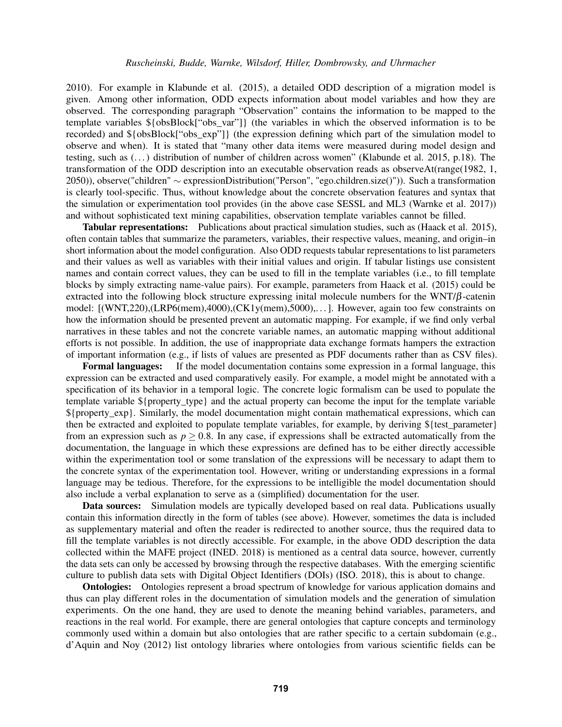2010). For example in Klabunde et al. (2015), a detailed ODD description of a migration model is given. Among other information, ODD expects information about model variables and how they are observed. The corresponding paragraph "Observation" contains the information to be mapped to the template variables \${obsBlock["obs\_var"]} (the variables in which the observed information is to be recorded) and \${obsBlock["obs\_exp"]} (the expression defining which part of the simulation model to observe and when). It is stated that "many other data items were measured during model design and testing, such as (. . . ) distribution of number of children across women" (Klabunde et al. 2015, p.18). The transformation of the ODD description into an executable observation reads as observeAt(range(1982, 1, 2050)), observe("children" ∼ expressionDistribution("Person", "ego.children.size()")). Such a transformation is clearly tool-specific. Thus, without knowledge about the concrete observation features and syntax that the simulation or experimentation tool provides (in the above case SESSL and ML3 (Warnke et al. 2017)) and without sophisticated text mining capabilities, observation template variables cannot be filled.

Tabular representations: Publications about practical simulation studies, such as (Haack et al. 2015), often contain tables that summarize the parameters, variables, their respective values, meaning, and origin–in short information about the model configuration. Also ODD requests tabular representations to list parameters and their values as well as variables with their initial values and origin. If tabular listings use consistent names and contain correct values, they can be used to fill in the template variables (i.e., to fill template blocks by simply extracting name-value pairs). For example, parameters from Haack et al. (2015) could be extracted into the following block structure expressing inital molecule numbers for the WNT/β-catenin model: [(WNT,220),(LRP6(mem),4000),(CK1y(mem),5000),. . . ]. However, again too few constraints on how the information should be presented prevent an automatic mapping. For example, if we find only verbal narratives in these tables and not the concrete variable names, an automatic mapping without additional efforts is not possible. In addition, the use of inappropriate data exchange formats hampers the extraction of important information (e.g., if lists of values are presented as PDF documents rather than as CSV files).

Formal languages: If the model documentation contains some expression in a formal language, this expression can be extracted and used comparatively easily. For example, a model might be annotated with a specification of its behavior in a temporal logic. The concrete logic formalism can be used to populate the template variable \${property\_type} and the actual property can become the input for the template variable \${property\_exp}. Similarly, the model documentation might contain mathematical expressions, which can then be extracted and exploited to populate template variables, for example, by deriving \${test\_parameter} from an expression such as  $p > 0.8$ . In any case, if expressions shall be extracted automatically from the documentation, the language in which these expressions are defined has to be either directly accessible within the experimentation tool or some translation of the expressions will be necessary to adapt them to the concrete syntax of the experimentation tool. However, writing or understanding expressions in a formal language may be tedious. Therefore, for the expressions to be intelligible the model documentation should also include a verbal explanation to serve as a (simplified) documentation for the user.

Data sources: Simulation models are typically developed based on real data. Publications usually contain this information directly in the form of tables (see above). However, sometimes the data is included as supplementary material and often the reader is redirected to another source, thus the required data to fill the template variables is not directly accessible. For example, in the above ODD description the data collected within the MAFE project (INED. 2018) is mentioned as a central data source, however, currently the data sets can only be accessed by browsing through the respective databases. With the emerging scientific culture to publish data sets with Digital Object Identifiers (DOIs) (ISO. 2018), this is about to change.

**Ontologies:** Ontologies represent a broad spectrum of knowledge for various application domains and thus can play different roles in the documentation of simulation models and the generation of simulation experiments. On the one hand, they are used to denote the meaning behind variables, parameters, and reactions in the real world. For example, there are general ontologies that capture concepts and terminology commonly used within a domain but also ontologies that are rather specific to a certain subdomain (e.g., d'Aquin and Noy (2012) list ontology libraries where ontologies from various scientific fields can be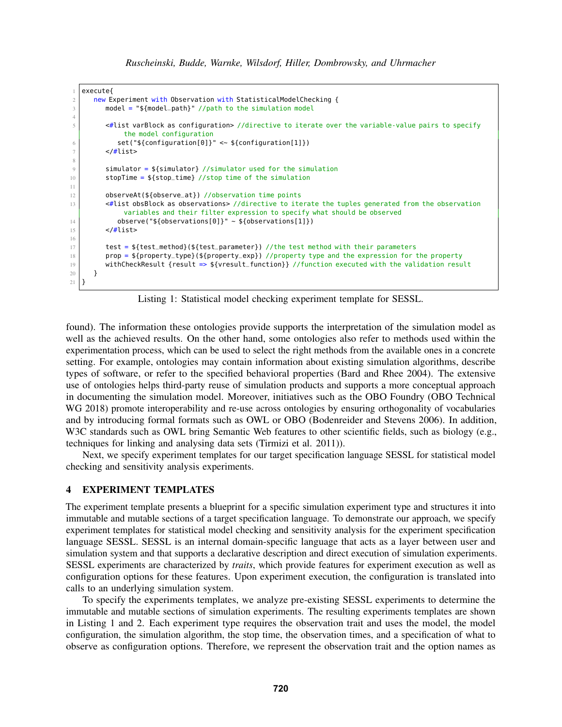*Ruscheinski, Budde, Warnke, Wilsdorf, Hiller, Dombrowsky, and Uhrmacher*

```
1 execute{
2 new Experiment with Observation with StatisticalModelChecking {
        model = "$(model_path)" //path to the simulation model4
         5 <#list varBlock as configuration> //directive to iterate over the variable-value pairs to specify
             the model configuration
6 \vert set("${configuration[0]}" <~ ${configuration[1]})
7 \leq/#list>
8
9 \vert simulator = ${simulator} //simulator used for the simulation
10 \vert stopTime = ${stop_time} //stop time of the simulation
11
12 observeAt(${observe_at}) //observation time points
13 <#list obsBlock as observations> //directive to iterate the tuples generated from the observation
             variables and their filter expression to specify what should be observed
14 observe("${observations[0]}" ~ ${observations[1]})
15 </#list>
16
17 test = ftest_method { ftest_parameter } //the test method with their parameters
18 prop = ${property_type}(${property_exp}) //property type and the expression for the property
19 withCheckResult {result => ${vresult_function}} //function executed with the validation result
20 }
21 }
```
Listing 1: Statistical model checking experiment template for SESSL.

found). The information these ontologies provide supports the interpretation of the simulation model as well as the achieved results. On the other hand, some ontologies also refer to methods used within the experimentation process, which can be used to select the right methods from the available ones in a concrete setting. For example, ontologies may contain information about existing simulation algorithms, describe types of software, or refer to the specified behavioral properties (Bard and Rhee 2004). The extensive use of ontologies helps third-party reuse of simulation products and supports a more conceptual approach in documenting the simulation model. Moreover, initiatives such as the OBO Foundry (OBO Technical WG 2018) promote interoperability and re-use across ontologies by ensuring orthogonality of vocabularies and by introducing formal formats such as OWL or OBO (Bodenreider and Stevens 2006). In addition, W3C standards such as OWL bring Semantic Web features to other scientific fields, such as biology (e.g., techniques for linking and analysing data sets (Tirmizi et al. 2011)).

Next, we specify experiment templates for our target specification language SESSL for statistical model checking and sensitivity analysis experiments.

### 4 EXPERIMENT TEMPLATES

The experiment template presents a blueprint for a specific simulation experiment type and structures it into immutable and mutable sections of a target specification language. To demonstrate our approach, we specify experiment templates for statistical model checking and sensitivity analysis for the experiment specification language SESSL. SESSL is an internal domain-specific language that acts as a layer between user and simulation system and that supports a declarative description and direct execution of simulation experiments. SESSL experiments are characterized by *traits*, which provide features for experiment execution as well as configuration options for these features. Upon experiment execution, the configuration is translated into calls to an underlying simulation system.

To specify the experiments templates, we analyze pre-existing SESSL experiments to determine the immutable and mutable sections of simulation experiments. The resulting experiments templates are shown in Listing 1 and 2. Each experiment type requires the observation trait and uses the model, the model configuration, the simulation algorithm, the stop time, the observation times, and a specification of what to observe as configuration options. Therefore, we represent the observation trait and the option names as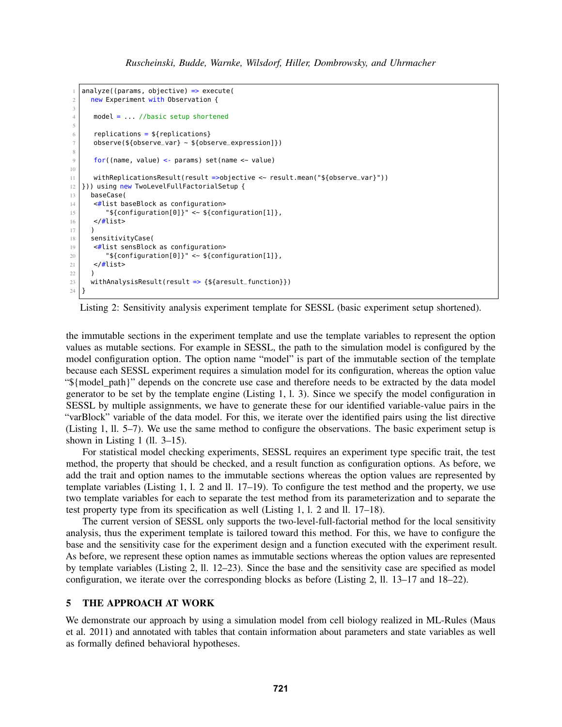```
analyze((params, objective) => execute(
2 new Experiment with Observation {
3
4 model = ... //basic setup shortened
5
6 replications = ${replications}
7 observe(${observe_var} ~ ${observe_expression]})
8
9 \mid for((name, value) <- params) set(name <~ value)
10
11 withReplicationsResult(result =>objective <~ result.mean("${observe_var}"))
12 | })) using new TwoLevelFullFactorialSetup {
13 baseCase(
14 <#list baseBlock as configuration>
15 "${configuration[0]}" <~ ${configuration[1]},
16 </#list>
17 )18 sensitivityCase(
19 <#list sensBlock as configuration>
20 \vert "${configuration[0]}" < \sim ${configuration[1]},
21 \lt/#list>
22 )
23 withAnalysisResult(result => {${aresult_function}})
24 }
```
Listing 2: Sensitivity analysis experiment template for SESSL (basic experiment setup shortened).

the immutable sections in the experiment template and use the template variables to represent the option values as mutable sections. For example in SESSL, the path to the simulation model is configured by the model configuration option. The option name "model" is part of the immutable section of the template because each SESSL experiment requires a simulation model for its configuration, whereas the option value "\${model\_path}" depends on the concrete use case and therefore needs to be extracted by the data model generator to be set by the template engine (Listing 1, l. 3). Since we specify the model configuration in SESSL by multiple assignments, we have to generate these for our identified variable-value pairs in the "varBlock" variable of the data model. For this, we iterate over the identified pairs using the list directive (Listing 1, ll. 5–7). We use the same method to configure the observations. The basic experiment setup is shown in Listing 1 (ll.  $3-15$ ).

For statistical model checking experiments, SESSL requires an experiment type specific trait, the test method, the property that should be checked, and a result function as configuration options. As before, we add the trait and option names to the immutable sections whereas the option values are represented by template variables (Listing 1, l. 2 and ll. 17–19). To configure the test method and the property, we use two template variables for each to separate the test method from its parameterization and to separate the test property type from its specification as well (Listing 1, l. 2 and ll. 17–18).

The current version of SESSL only supports the two-level-full-factorial method for the local sensitivity analysis, thus the experiment template is tailored toward this method. For this, we have to configure the base and the sensitivity case for the experiment design and a function executed with the experiment result. As before, we represent these option names as immutable sections whereas the option values are represented by template variables (Listing 2, ll. 12–23). Since the base and the sensitivity case are specified as model configuration, we iterate over the corresponding blocks as before (Listing 2, ll. 13–17 and 18–22).

#### 5 THE APPROACH AT WORK

We demonstrate our approach by using a simulation model from cell biology realized in ML-Rules (Maus et al. 2011) and annotated with tables that contain information about parameters and state variables as well as formally defined behavioral hypotheses.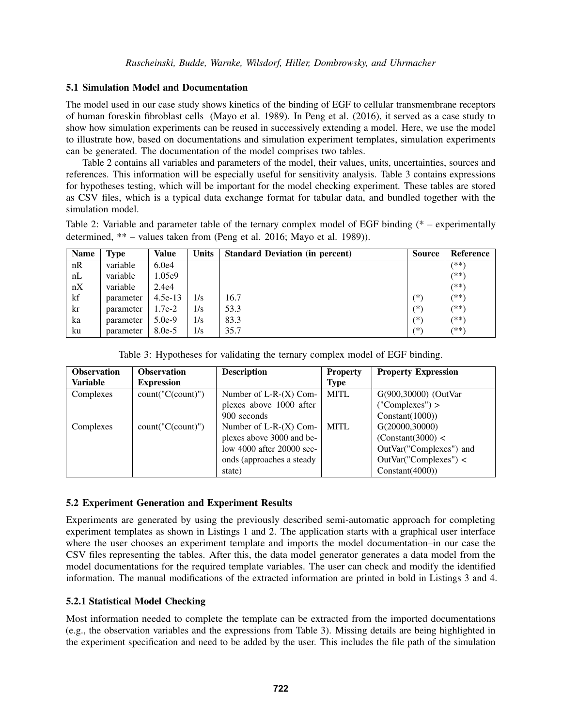### 5.1 Simulation Model and Documentation

The model used in our case study shows kinetics of the binding of EGF to cellular transmembrane receptors of human foreskin fibroblast cells (Mayo et al. 1989). In Peng et al. (2016), it served as a case study to show how simulation experiments can be reused in successively extending a model. Here, we use the model to illustrate how, based on documentations and simulation experiment templates, simulation experiments can be generated. The documentation of the model comprises two tables.

Table 2 contains all variables and parameters of the model, their values, units, uncertainties, sources and references. This information will be especially useful for sensitivity analysis. Table 3 contains expressions for hypotheses testing, which will be important for the model checking experiment. These tables are stored as CSV files, which is a typical data exchange format for tabular data, and bundled together with the simulation model.

Table 2: Variable and parameter table of the ternary complex model of EGF binding (\* – experimentally determined, \*\* – values taken from (Peng et al. 2016; Mayo et al. 1989)).

| <b>Name</b> | Type      | Value     | <b>Units</b> | <b>Standard Deviation (in percent)</b> | <b>Source</b> | <b>Reference</b> |
|-------------|-----------|-----------|--------------|----------------------------------------|---------------|------------------|
| nR          | variable  | 6.0e4     |              |                                        |               | (**)             |
| nL          | variable  | 1.05e9    |              |                                        |               | (**)             |
| nX          | variable  | 2.4e4     |              |                                        |               | (**)             |
| kf          | parameter | $4.5e-13$ | 1/s          | 16.7                                   | $(\ast)$      | (**)             |
| kr          | parameter | 1.7e-2    | 1/s          | 53.3                                   | $^{(*)}$      | (**)             |
| ka          | parameter | $5.0e-9$  | 1/s          | 83.3                                   | $^{(*)}$      | (**)             |
| ku          | parameter | $8.0e-5$  | 1/s          | 35.7                                   | $(*)$         | (**)             |

Table 3: Hypotheses for validating the ternary complex model of EGF binding.

| <b>Observation</b> | <b>Observation</b> | <b>Description</b>        | <b>Property</b> | <b>Property Expression</b> |
|--------------------|--------------------|---------------------------|-----------------|----------------------------|
| <b>Variable</b>    | <b>Expression</b>  |                           | <b>Type</b>     |                            |
| Complexes          | count("C(count)")  | Number of L-R- $(X)$ Com- | <b>MITL</b>     | G(900,30000) (OutVar       |
|                    |                    | plexes above 1000 after   |                 | ("Complexes") >            |
|                    |                    | 900 seconds               |                 | Constant(1000))            |
| Complexes          | count("C(count)")  | Number of L-R- $(X)$ Com- | <b>MITL</b>     | G(20000, 30000)            |
|                    |                    | plexes above 3000 and be- |                 | (Constant(3000) <          |
|                    |                    | low 4000 after 20000 sec- |                 | OutVar("Complexes") and    |
|                    |                    | onds (approaches a steady |                 | OutVar("Complexes") <      |
|                    |                    | state)                    |                 | Constant(4000))            |

# 5.2 Experiment Generation and Experiment Results

Experiments are generated by using the previously described semi-automatic approach for completing experiment templates as shown in Listings 1 and 2. The application starts with a graphical user interface where the user chooses an experiment template and imports the model documentation–in our case the CSV files representing the tables. After this, the data model generator generates a data model from the model documentations for the required template variables. The user can check and modify the identified information. The manual modifications of the extracted information are printed in bold in Listings 3 and 4.

# 5.2.1 Statistical Model Checking

Most information needed to complete the template can be extracted from the imported documentations (e.g., the observation variables and the expressions from Table 3). Missing details are being highlighted in the experiment specification and need to be added by the user. This includes the file path of the simulation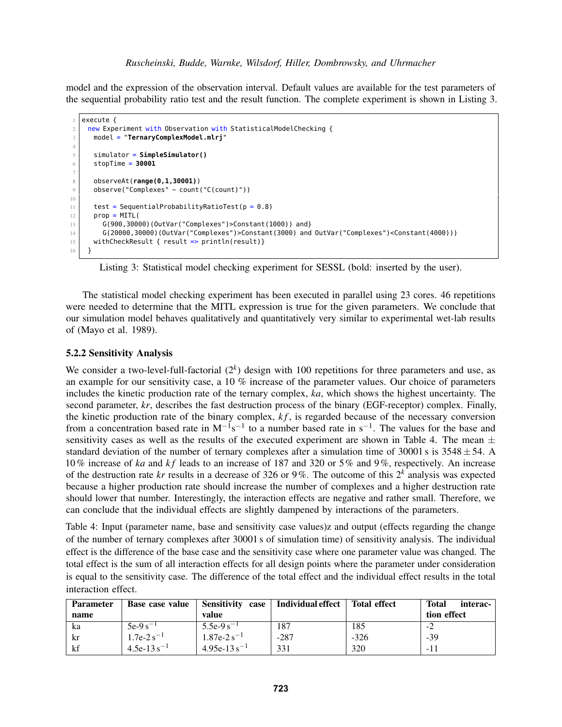model and the expression of the observation interval. Default values are available for the test parameters of the sequential probability ratio test and the result function. The complete experiment is shown in Listing 3.

```
1 execute {
2 new Experiment with Observation with StatisticalModelChecking {
     3 model = "TernaryComplexModel.mlrj"
 4
5 simulator = SimpleSimulator()
6 stopTime = 30001
7
8 observeAt(range(0,1,30001))
9 observe("Complexes" ~ count("C(count)"))
10
11 test = SequentialProbabilityRatioTest(p = 0.8)
12 prop = MITL(
13 G(900,30000)(OutVar("Complexes")>Constant(1000)) and}
14 G(20000,30000)(OutVar("Complexes")>Constant(3000) and OutVar("Complexes")<Constant(4000)))
15 withCheckResult { result => println(result)}
16 }
```
Listing 3: Statistical model checking experiment for SESSL (bold: inserted by the user).

The statistical model checking experiment has been executed in parallel using 23 cores. 46 repetitions were needed to determine that the MITL expression is true for the given parameters. We conclude that our simulation model behaves qualitatively and quantitatively very similar to experimental wet-lab results of (Mayo et al. 1989).

# 5.2.2 Sensitivity Analysis

We consider a two-level-full-factorial  $(2<sup>k</sup>)$  design with 100 repetitions for three parameters and use, as an example for our sensitivity case, a 10 % increase of the parameter values. Our choice of parameters includes the kinetic production rate of the ternary complex, *ka*, which shows the highest uncertainty. The second parameter, *kr*, describes the fast destruction process of the binary (EGF-receptor) complex. Finally, the kinetic production rate of the binary complex,  $kf$ , is regarded because of the necessary conversion from a concentration based rate in  $M^{-1}s^{-1}$  to a number based rate in s<sup>-1</sup>. The values for the base and sensitivity cases as well as the results of the executed experiment are shown in Table 4. The mean  $\pm$ standard deviation of the number of ternary complexes after a simulation time of 30001 s is  $3548 \pm 54$ . A 10 % increase of *ka* and *k f* leads to an increase of 187 and 320 or 5% and 9%, respectively. An increase of the destruction rate *kr* results in a decrease of 326 or 9%. The outcome of this 2 *k* analysis was expected because a higher production rate should increase the number of complexes and a higher destruction rate should lower that number. Interestingly, the interaction effects are negative and rather small. Therefore, we can conclude that the individual effects are slightly dampened by interactions of the parameters.

Table 4: Input (parameter name, base and sensitivity case values)z and output (effects regarding the change of the number of ternary complexes after 30001 s of simulation time) of sensitivity analysis. The individual effect is the difference of the base case and the sensitivity case where one parameter value was changed. The total effect is the sum of all interaction effects for all design points where the parameter under consideration is equal to the sensitivity case. The difference of the total effect and the individual effect results in the total interaction effect.

| Parameter | Base case value    | Sensitivity<br>case | <b>Individual effect</b> | Total effect | <b>Total</b><br>interac- |
|-----------|--------------------|---------------------|--------------------------|--------------|--------------------------|
| name      |                    | value               |                          |              | tion effect              |
| ka        | $5e-9s^{-1}$       | $5.5e-9s^{-1}$      | 187                      | 185          | $-2$                     |
| kr        | $1.7e^{-2} s^{-1}$ | $1.87e-2s^{-1}$     | $-287$                   | $-326$       | $-39$                    |
| kf        | $4.5e-13s^{-1}$    | 4.95e-13 $s^{-1}$   | 331                      | 320          | -11                      |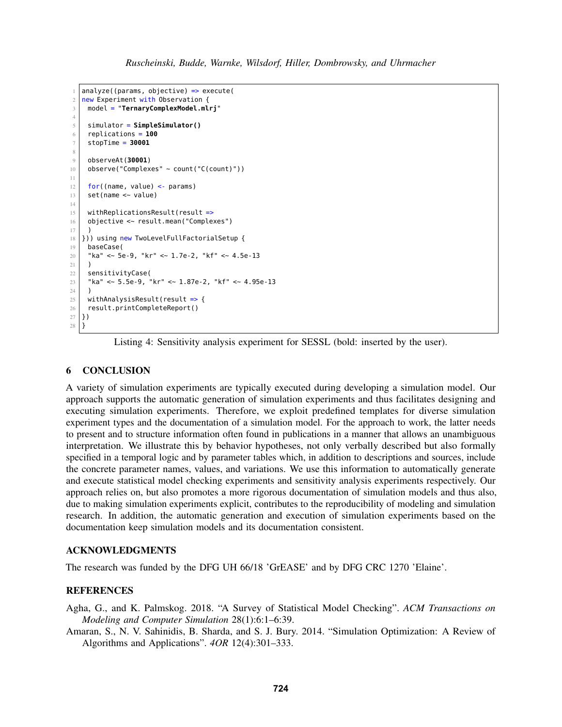```
analyze((params, objective) => execute(
2 \times 2 new Experiment with Observation {
3 model = "TernaryComplexModel.mlrj"
4
5 simulator = SimpleSimulator()6 replications = 100
7 stopTime = 30001
8
9 observeAt(30001)
10 observe("Complexes" \sim count("C(count)"))
11
12 for((name, value) <- params)
13 set(name \leq value)
14
15 | withReplicationsResult(result =>
16 objective <~ result.mean("Complexes")
17 )
18 | })) using new TwoLevelFullFactorialSetup {
19 baseCase(
20 "ka" <~ 5e-9, "kr" <~ 1.7e-2, "kf" <~ 4.5e-13
21 )
22 sensitivityCase(
23 "ka" <~ 5.5e-9, "kr" <~ 1.87e-2, "kf" <~ 4.95e-13
24 )
25 | withAnalysisResult(result => {
26 result.printCompleteReport()
27 })
28 }
```
Listing 4: Sensitivity analysis experiment for SESSL (bold: inserted by the user).

#### 6 CONCLUSION

A variety of simulation experiments are typically executed during developing a simulation model. Our approach supports the automatic generation of simulation experiments and thus facilitates designing and executing simulation experiments. Therefore, we exploit predefined templates for diverse simulation experiment types and the documentation of a simulation model. For the approach to work, the latter needs to present and to structure information often found in publications in a manner that allows an unambiguous interpretation. We illustrate this by behavior hypotheses, not only verbally described but also formally specified in a temporal logic and by parameter tables which, in addition to descriptions and sources, include the concrete parameter names, values, and variations. We use this information to automatically generate and execute statistical model checking experiments and sensitivity analysis experiments respectively. Our approach relies on, but also promotes a more rigorous documentation of simulation models and thus also, due to making simulation experiments explicit, contributes to the reproducibility of modeling and simulation research. In addition, the automatic generation and execution of simulation experiments based on the documentation keep simulation models and its documentation consistent.

### ACKNOWLEDGMENTS

The research was funded by the DFG UH 66/18 'GrEASE' and by DFG CRC 1270 'Elaine'.

## **REFERENCES**

- Agha, G., and K. Palmskog. 2018. "A Survey of Statistical Model Checking". *ACM Transactions on Modeling and Computer Simulation* 28(1):6:1–6:39.
- Amaran, S., N. V. Sahinidis, B. Sharda, and S. J. Bury. 2014. "Simulation Optimization: A Review of Algorithms and Applications". *4OR* 12(4):301–333.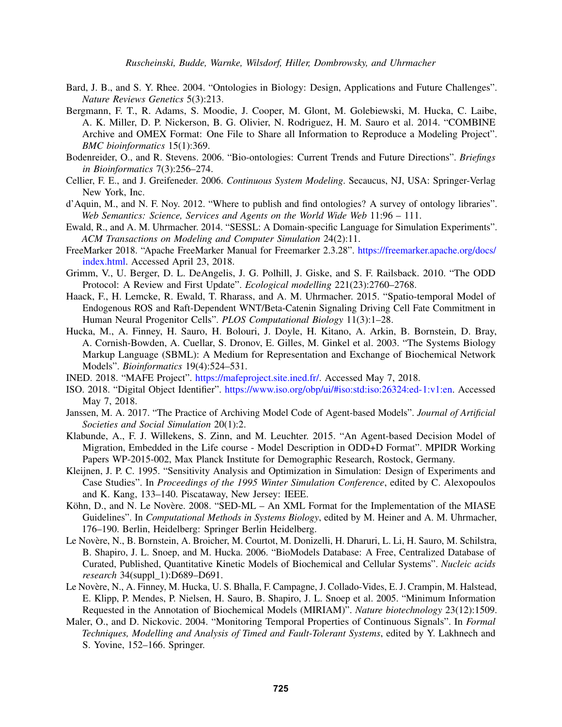- Bard, J. B., and S. Y. Rhee. 2004. "Ontologies in Biology: Design, Applications and Future Challenges". *Nature Reviews Genetics* 5(3):213.
- Bergmann, F. T., R. Adams, S. Moodie, J. Cooper, M. Glont, M. Golebiewski, M. Hucka, C. Laibe, A. K. Miller, D. P. Nickerson, B. G. Olivier, N. Rodriguez, H. M. Sauro et al. 2014. "COMBINE Archive and OMEX Format: One File to Share all Information to Reproduce a Modeling Project". *BMC bioinformatics* 15(1):369.
- Bodenreider, O., and R. Stevens. 2006. "Bio-ontologies: Current Trends and Future Directions". *Briefings in Bioinformatics* 7(3):256–274.
- Cellier, F. E., and J. Greifeneder. 2006. *Continuous System Modeling*. Secaucus, NJ, USA: Springer-Verlag New York, Inc.
- d'Aquin, M., and N. F. Noy. 2012. "Where to publish and find ontologies? A survey of ontology libraries". *Web Semantics: Science, Services and Agents on the World Wide Web* 11:96 – 111.
- Ewald, R., and A. M. Uhrmacher. 2014. "SESSL: A Domain-specific Language for Simulation Experiments". *ACM Transactions on Modeling and Computer Simulation* 24(2):11.
- FreeMarker 2018. "Apache FreeMarker Manual for Freemarker 2.3.28". https://freemarker.apache.org/docs/ index.html. Accessed April 23, 2018.
- Grimm, V., U. Berger, D. L. DeAngelis, J. G. Polhill, J. Giske, and S. F. Railsback. 2010. "The ODD Protocol: A Review and First Update". *Ecological modelling* 221(23):2760–2768.
- Haack, F., H. Lemcke, R. Ewald, T. Rharass, and A. M. Uhrmacher. 2015. "Spatio-temporal Model of Endogenous ROS and Raft-Dependent WNT/Beta-Catenin Signaling Driving Cell Fate Commitment in Human Neural Progenitor Cells". *PLOS Computational Biology* 11(3):1–28.
- Hucka, M., A. Finney, H. Sauro, H. Bolouri, J. Doyle, H. Kitano, A. Arkin, B. Bornstein, D. Bray, A. Cornish-Bowden, A. Cuellar, S. Dronov, E. Gilles, M. Ginkel et al. 2003. "The Systems Biology Markup Language (SBML): A Medium for Representation and Exchange of Biochemical Network Models". *Bioinformatics* 19(4):524–531.
- INED. 2018. "MAFE Project". https://mafeproject.site.ined.fr/. Accessed May 7, 2018.
- ISO. 2018. "Digital Object Identifier". https://www.iso.org/obp/ui/#iso:std:iso:26324:ed-1:v1:en. Accessed May 7, 2018.
- Janssen, M. A. 2017. "The Practice of Archiving Model Code of Agent-based Models". *Journal of Artificial Societies and Social Simulation* 20(1):2.
- Klabunde, A., F. J. Willekens, S. Zinn, and M. Leuchter. 2015. "An Agent-based Decision Model of Migration, Embedded in the Life course - Model Description in ODD+D Format". MPIDR Working Papers WP-2015-002, Max Planck Institute for Demographic Research, Rostock, Germany.
- Kleijnen, J. P. C. 1995. "Sensitivity Analysis and Optimization in Simulation: Design of Experiments and Case Studies". In *Proceedings of the 1995 Winter Simulation Conference*, edited by C. Alexopoulos and K. Kang, 133–140. Piscataway, New Jersey: IEEE.
- Köhn, D., and N. Le Novère. 2008. "SED-ML An XML Format for the Implementation of the MIASE Guidelines". In *Computational Methods in Systems Biology*, edited by M. Heiner and A. M. Uhrmacher, 176–190. Berlin, Heidelberg: Springer Berlin Heidelberg.
- Le Novère, N., B. Bornstein, A. Broicher, M. Courtot, M. Donizelli, H. Dharuri, L. Li, H. Sauro, M. Schilstra, B. Shapiro, J. L. Snoep, and M. Hucka. 2006. "BioModels Database: A Free, Centralized Database of Curated, Published, Quantitative Kinetic Models of Biochemical and Cellular Systems". *Nucleic acids research* 34(suppl\_1):D689–D691.
- Le Novère, N., A. Finney, M. Hucka, U. S. Bhalla, F. Campagne, J. Collado-Vides, E. J. Crampin, M. Halstead, E. Klipp, P. Mendes, P. Nielsen, H. Sauro, B. Shapiro, J. L. Snoep et al. 2005. "Minimum Information Requested in the Annotation of Biochemical Models (MIRIAM)". *Nature biotechnology* 23(12):1509.
- Maler, O., and D. Nickovic. 2004. "Monitoring Temporal Properties of Continuous Signals". In *Formal Techniques, Modelling and Analysis of Timed and Fault-Tolerant Systems*, edited by Y. Lakhnech and S. Yovine, 152–166. Springer.